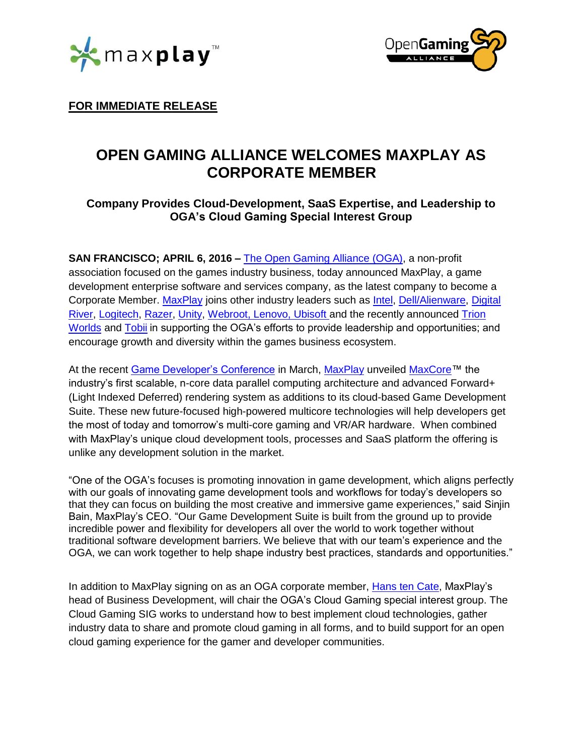\*maxplay™



**FOR IMMEDIATE RELEASE**

# **OPEN GAMING ALLIANCE WELCOMES MAXPLAY AS CORPORATE MEMBER**

## **Company Provides Cloud-Development, SaaS Expertise, and Leadership to OGA's Cloud Gaming Special Interest Group**

**SAN FRANCISCO; APRIL 6, 2016 –** [The Open Gaming Alliance \(OGA\),](https://opengamingalliance.org/) a non-profit association focused on the games industry business, today announced MaxPlay, a game development enterprise software and services company, as the latest company to become a Corporate Member. [MaxPlay](http://www.maxplay.io/) joins other industry leaders such as [Intel,](http://www.intel.com/content/www/us/en/company-overview/company-overview.html) [Dell/Alienware,](http://www.alienware.com/) [Digital](http://www.digitalriver.com/)  [River,](http://www.digitalriver.com/) [Logitech,](http://www.logitech.com/) [Razer,](http://www.razerzone.com/) [Unity,](http://unity3d.com/) [Webroot,](http://www.webroot.com/us/en/) Lenovo, Ubisoft and the recently announced [Trion](http://www.trionworlds.com/en/)  [Worlds](http://www.trionworlds.com/en/) and [Tobii](http://www.tobii.com/group/) in supporting the OGA's efforts to provide leadership and opportunities; and encourage growth and diversity within the games business ecosystem.

At the recent [Game Developer's Conference](http://www.gdconf.com/) in March, [MaxPlay](http://www.maxplay.io/) unveiled [MaxCore™](http://www.maxplay.io/sites/default/files/press_release/MaxPlay%20-%20MaxCore%20030916.pdf) the industry's first scalable, n-core data parallel computing architecture and advanced Forward+ (Light Indexed Deferred) rendering system as additions to its cloud-based Game Development Suite. These new future-focused high-powered multicore technologies will help developers get the most of today and tomorrow's multi-core gaming and VR/AR hardware. When combined with MaxPlay's unique cloud development tools, processes and SaaS platform the offering is unlike any development solution in the market.

"One of the OGA's focuses is promoting innovation in game development, which aligns perfectly with our goals of innovating game development tools and workflows for today's developers so that they can focus on building the most creative and immersive game experiences," said Sinjin Bain, MaxPlay's CEO. "Our Game Development Suite is built from the ground up to provide incredible power and flexibility for developers all over the world to work together without traditional software development barriers. We believe that with our team's experience and the OGA, we can work together to help shape industry best practices, standards and opportunities."

In addition to MaxPlay signing on as an OGA corporate member, [Hans ten Cate,](https://www.linkedin.com/in/hanstencate) MaxPlay's head of Business Development, will chair the OGA's Cloud Gaming special interest group. The Cloud Gaming SIG works to understand how to best implement cloud technologies, gather industry data to share and promote cloud gaming in all forms, and to build support for an open cloud gaming experience for the gamer and developer communities.